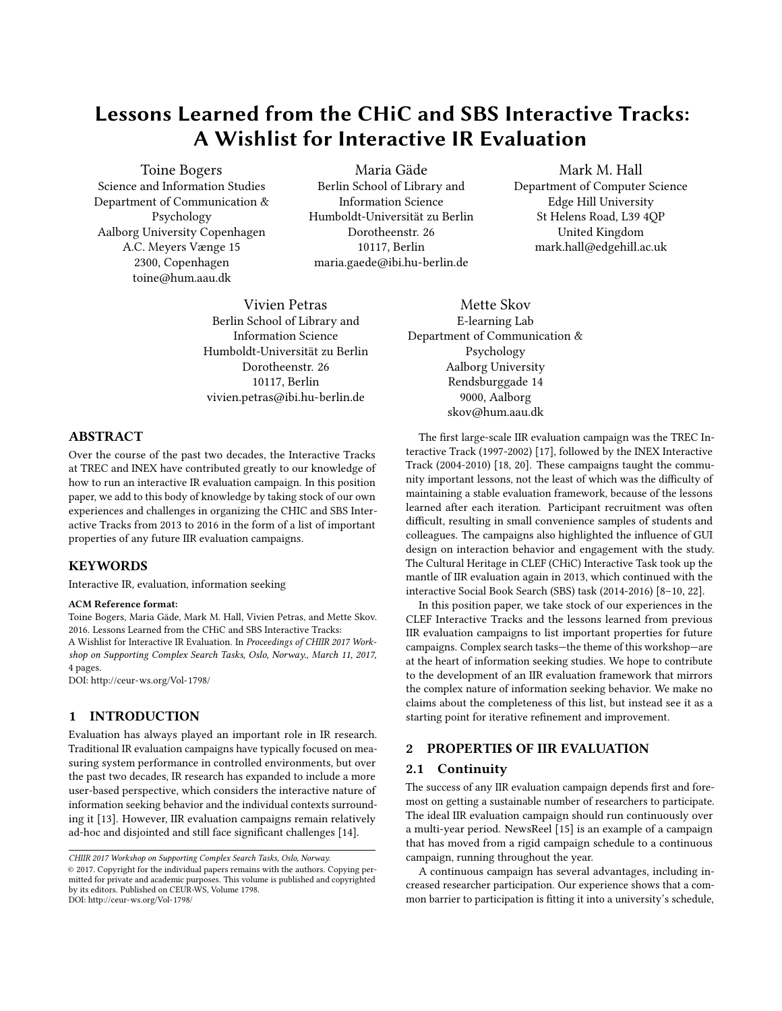# Lessons Learned from the CHiC and SBS Interactive Tracks: A Wishlist for Interactive IR Evaluation

Toine Bogers Science and Information Studies Department of Communication & Psychology Aalborg University Copenhagen A.C. Meyers Vænge 15 2300, Copenhagen toine@hum.aau.dk

Maria Gäde Berlin School of Library and Information Science Humboldt-Universität zu Berlin Dorotheenstr. 26 10117, Berlin maria.gaede@ibi.hu-berlin.de

Vivien Petras Berlin School of Library and Information Science Humboldt-Universität zu Berlin Dorotheenstr. 26 10117, Berlin vivien.petras@ibi.hu-berlin.de

### ABSTRACT

Over the course of the past two decades, the Interactive Tracks at TREC and INEX have contributed greatly to our knowledge of how to run an interactive IR evaluation campaign. In this position paper, we add to this body of knowledge by taking stock of our own experiences and challenges in organizing the CHIC and SBS Interactive Tracks from 2013 to 2016 in the form of a list of important properties of any future IIR evaluation campaigns.

#### **KEYWORDS**

Interactive IR, evaluation, information seeking

#### ACM Reference format:

Toine Bogers, Maria Gäde, Mark M. Hall, Vivien Petras, and Mette Skov. 2016. Lessons Learned from the CHiC and SBS Interactive Tracks: A Wishlist for Interactive IR Evaluation. In Proceedings of CHIIR 2017 Workshop on Supporting Complex Search Tasks, Oslo, Norway., March 11, 2017, [4](#page-3-0) pages.

DOI: http://ceur-ws.org/Vol-1798/

# 1 INTRODUCTION

Evaluation has always played an important role in IR research. Traditional IR evaluation campaigns have typically focused on measuring system performance in controlled environments, but over the past two decades, IR research has expanded to include a more user-based perspective, which considers the interactive nature of information seeking behavior and the individual contexts surrounding it [\[13\]](#page-2-0). However, IIR evaluation campaigns remain relatively ad-hoc and disjointed and still face significant challenges [\[14\]](#page-2-1).

Mark M. Hall Department of Computer Science Edge Hill University St Helens Road, L39 4QP United Kingdom mark.hall@edgehill.ac.uk

Mette Skov E-learning Lab Department of Communication & Psychology Aalborg University Rendsburggade 14 9000, Aalborg skov@hum.aau.dk

The first large-scale IIR evaluation campaign was the TREC Interactive Track (1997-2002) [\[17\]](#page-3-1), followed by the INEX Interactive Track (2004-2010) [\[18,](#page-3-2) [20\]](#page-3-3). These campaigns taught the community important lessons, not the least of which was the difficulty of maintaining a stable evaluation framework, because of the lessons learned after each iteration. Participant recruitment was often difficult, resulting in small convenience samples of students and colleagues. The campaigns also highlighted the influence of GUI design on interaction behavior and engagement with the study. The Cultural Heritage in CLEF (CHiC) Interactive Task took up the mantle of IIR evaluation again in 2013, which continued with the interactive Social Book Search (SBS) task (2014-2016) [\[8](#page-2-2)[–10,](#page-2-3) [22\]](#page-3-4).

In this position paper, we take stock of our experiences in the CLEF Interactive Tracks and the lessons learned from previous IIR evaluation campaigns to list important properties for future campaigns. Complex search tasks—the theme of this workshop—are at the heart of information seeking studies. We hope to contribute to the development of an IIR evaluation framework that mirrors the complex nature of information seeking behavior. We make no claims about the completeness of this list, but instead see it as a starting point for iterative refinement and improvement.

#### 2 PROPERTIES OF IIR EVALUATION

#### 2.1 Continuity

The success of any IIR evaluation campaign depends first and foremost on getting a sustainable number of researchers to participate. The ideal IIR evaluation campaign should run continuously over a multi-year period. NewsReel [\[15\]](#page-3-5) is an example of a campaign that has moved from a rigid campaign schedule to a continuous campaign, running throughout the year.

A continuous campaign has several advantages, including increased researcher participation. Our experience shows that a common barrier to participation is fitting it into a university's schedule,

CHIIR 2017 Workshop on Supporting Complex Search Tasks, Oslo, Norway. © 2017. Copyright for the individual papers remains with the authors. Copying permitted for private and academic purposes. This volume is published and copyrighted by its editors. Published on CEUR-WS, Volume 1798. DOI: http://ceur-ws.org/Vol-1798/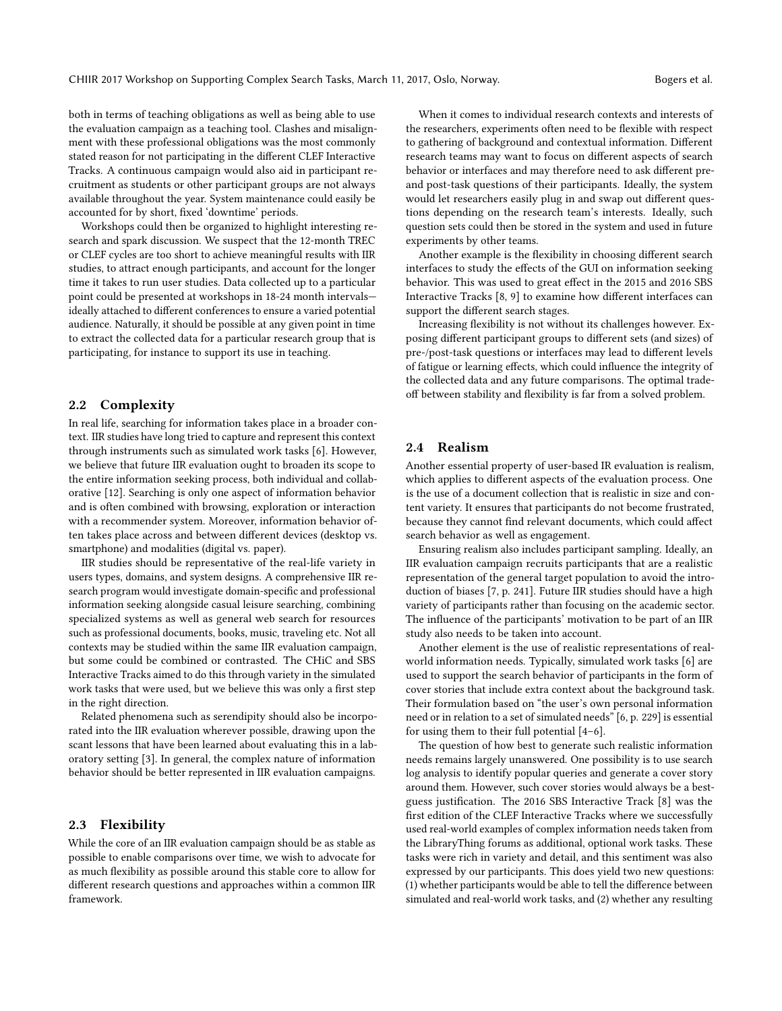both in terms of teaching obligations as well as being able to use the evaluation campaign as a teaching tool. Clashes and misalignment with these professional obligations was the most commonly stated reason for not participating in the different CLEF Interactive Tracks. A continuous campaign would also aid in participant recruitment as students or other participant groups are not always available throughout the year. System maintenance could easily be accounted for by short, fixed 'downtime' periods.

Workshops could then be organized to highlight interesting research and spark discussion. We suspect that the 12-month TREC or CLEF cycles are too short to achieve meaningful results with IIR studies, to attract enough participants, and account for the longer time it takes to run user studies. Data collected up to a particular point could be presented at workshops in 18-24 month intervals ideally attached to different conferences to ensure a varied potential audience. Naturally, it should be possible at any given point in time to extract the collected data for a particular research group that is participating, for instance to support its use in teaching.

#### 2.2 Complexity

In real life, searching for information takes place in a broader context. IIR studies have long tried to capture and represent this context through instruments such as simulated work tasks [\[6\]](#page-2-4). However, we believe that future IIR evaluation ought to broaden its scope to the entire information seeking process, both individual and collaborative [\[12\]](#page-2-5). Searching is only one aspect of information behavior and is often combined with browsing, exploration or interaction with a recommender system. Moreover, information behavior often takes place across and between different devices (desktop vs. smartphone) and modalities (digital vs. paper).

IIR studies should be representative of the real-life variety in users types, domains, and system designs. A comprehensive IIR research program would investigate domain-specific and professional information seeking alongside casual leisure searching, combining specialized systems as well as general web search for resources such as professional documents, books, music, traveling etc. Not all contexts may be studied within the same IIR evaluation campaign, but some could be combined or contrasted. The CHiC and SBS Interactive Tracks aimed to do this through variety in the simulated work tasks that were used, but we believe this was only a first step in the right direction.

Related phenomena such as serendipity should also be incorporated into the IIR evaluation wherever possible, drawing upon the scant lessons that have been learned about evaluating this in a laboratory setting [\[3\]](#page-2-6). In general, the complex nature of information behavior should be better represented in IIR evaluation campaigns.

#### 2.3 Flexibility

While the core of an IIR evaluation campaign should be as stable as possible to enable comparisons over time, we wish to advocate for as much flexibility as possible around this stable core to allow for different research questions and approaches within a common IIR framework.

When it comes to individual research contexts and interests of the researchers, experiments often need to be flexible with respect to gathering of background and contextual information. Different research teams may want to focus on different aspects of search behavior or interfaces and may therefore need to ask different preand post-task questions of their participants. Ideally, the system would let researchers easily plug in and swap out different questions depending on the research team's interests. Ideally, such question sets could then be stored in the system and used in future experiments by other teams.

Another example is the flexibility in choosing different search interfaces to study the effects of the GUI on information seeking behavior. This was used to great effect in the 2015 and 2016 SBS Interactive Tracks  $[8, 9]$  $[8, 9]$  $[8, 9]$  to examine how different interfaces can support the different search stages.

Increasing flexibility is not without its challenges however. Exposing different participant groups to different sets (and sizes) of pre-/post-task questions or interfaces may lead to different levels of fatigue or learning effects, which could influence the integrity of the collected data and any future comparisons. The optimal tradeoff between stability and flexibility is far from a solved problem.

#### 2.4 Realism

Another essential property of user-based IR evaluation is realism, which applies to different aspects of the evaluation process. One is the use of a document collection that is realistic in size and content variety. It ensures that participants do not become frustrated, because they cannot find relevant documents, which could affect search behavior as well as engagement.

Ensuring realism also includes participant sampling. Ideally, an IIR evaluation campaign recruits participants that are a realistic representation of the general target population to avoid the introduction of biases [\[7,](#page-2-8) p. 241]. Future IIR studies should have a high variety of participants rather than focusing on the academic sector. The influence of the participants' motivation to be part of an IIR study also needs to be taken into account.

Another element is the use of realistic representations of realworld information needs. Typically, simulated work tasks [\[6\]](#page-2-4) are used to support the search behavior of participants in the form of cover stories that include extra context about the background task. Their formulation based on "the user's own personal information need or in relation to a set of simulated needs" [\[6,](#page-2-4) p. 229] is essential for using them to their full potential [\[4](#page-2-9)[–6\]](#page-2-4).

The question of how best to generate such realistic information needs remains largely unanswered. One possibility is to use search log analysis to identify popular queries and generate a cover story around them. However, such cover stories would always be a best-guess justification. The 2016 SBS Interactive Track [\[8\]](#page-2-2) was the first edition of the CLEF Interactive Tracks where we successfully used real-world examples of complex information needs taken from the LibraryThing forums as additional, optional work tasks. These tasks were rich in variety and detail, and this sentiment was also expressed by our participants. This does yield two new questions:  $(1)$  whether participants would be able to tell the difference between simulated and real-world work tasks, and (2) whether any resulting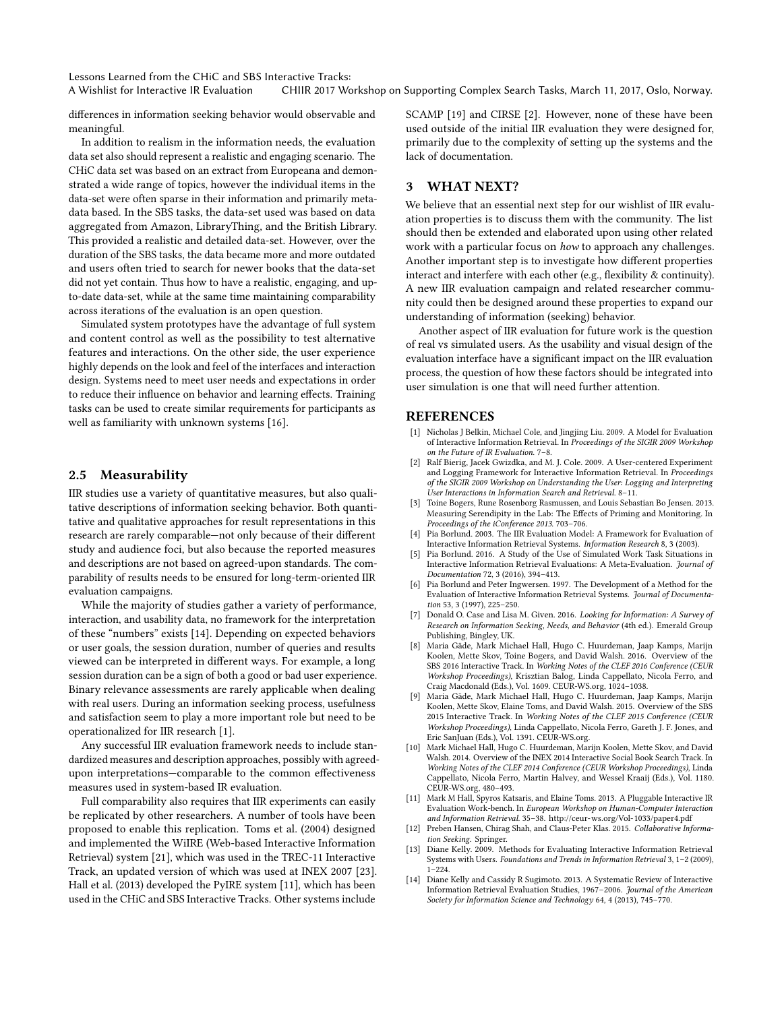Lessons Learned from the CHiC and SBS Interactive Tracks:

A Wishlist for Interactive IR Evaluation CHIIR 2017 Workshop on Supporting Complex Search Tasks, March 11, 2017, Oslo, Norway.

differences in information seeking behavior would observable and meaningful.

In addition to realism in the information needs, the evaluation data set also should represent a realistic and engaging scenario. The CHiC data set was based on an extract from Europeana and demonstrated a wide range of topics, however the individual items in the data-set were often sparse in their information and primarily metadata based. In the SBS tasks, the data-set used was based on data aggregated from Amazon, LibraryThing, and the British Library. This provided a realistic and detailed data-set. However, over the duration of the SBS tasks, the data became more and more outdated and users often tried to search for newer books that the data-set did not yet contain. Thus how to have a realistic, engaging, and upto-date data-set, while at the same time maintaining comparability across iterations of the evaluation is an open question.

Simulated system prototypes have the advantage of full system and content control as well as the possibility to test alternative features and interactions. On the other side, the user experience highly depends on the look and feel of the interfaces and interaction design. Systems need to meet user needs and expectations in order to reduce their influence on behavior and learning effects. Training tasks can be used to create similar requirements for participants as well as familiarity with unknown systems [\[16\]](#page-3-6).

#### 2.5 Measurability

IIR studies use a variety of quantitative measures, but also qualitative descriptions of information seeking behavior. Both quantitative and qualitative approaches for result representations in this research are rarely comparable—not only because of their different study and audience foci, but also because the reported measures and descriptions are not based on agreed-upon standards. The comparability of results needs to be ensured for long-term-oriented IIR evaluation campaigns.

While the majority of studies gather a variety of performance, interaction, and usability data, no framework for the interpretation of these "numbers" exists [\[14\]](#page-2-1). Depending on expected behaviors or user goals, the session duration, number of queries and results viewed can be interpreted in different ways. For example, a long session duration can be a sign of both a good or bad user experience. Binary relevance assessments are rarely applicable when dealing with real users. During an information seeking process, usefulness and satisfaction seem to play a more important role but need to be operationalized for IIR research [\[1\]](#page-2-10).

Any successful IIR evaluation framework needs to include standardized measures and description approaches, possibly with agreedupon interpretations-comparable to the common effectiveness measures used in system-based IR evaluation.

Full comparability also requires that IIR experiments can easily be replicated by other researchers. A number of tools have been proposed to enable this replication. Toms et al. (2004) designed and implemented the WiIRE (Web-based Interactive Information Retrieval) system [\[21\]](#page-3-7), which was used in the TREC-11 Interactive Track, an updated version of which was used at INEX 2007 [\[23\]](#page-3-8). Hall et al. (2013) developed the PyIRE system [\[11\]](#page-2-11), which has been used in the CHiC and SBS Interactive Tracks. Other systems include

SCAMP [\[19\]](#page-3-9) and CIRSE [\[2\]](#page-2-12). However, none of these have been used outside of the initial IIR evaluation they were designed for, primarily due to the complexity of setting up the systems and the lack of documentation.

## 3 WHAT NEXT?

We believe that an essential next step for our wishlist of IIR evaluation properties is to discuss them with the community. The list should then be extended and elaborated upon using other related work with a particular focus on how to approach any challenges. Another important step is to investigate how different properties interact and interfere with each other (e.g., flexibility  $&$  continuity). A new IIR evaluation campaign and related researcher community could then be designed around these properties to expand our understanding of information (seeking) behavior.

Another aspect of IIR evaluation for future work is the question of real vs simulated users. As the usability and visual design of the evaluation interface have a significant impact on the IIR evaluation process, the question of how these factors should be integrated into user simulation is one that will need further attention.

#### **REFERENCES**

- <span id="page-2-10"></span>[1] Nicholas J Belkin, Michael Cole, and Jingjing Liu. 2009. A Model for Evaluation of Interactive Information Retrieval. In Proceedings of the SIGIR 2009 Workshop on the Future of IR Evaluation. 7–8.
- <span id="page-2-12"></span>[2] Ralf Bierig, Jacek Gwizdka, and M. J. Cole. 2009. A User-centered Experiment and Logging Framework for Interactive Information Retrieval. In Proceedings of the SIGIR 2009 Workshop on Understanding the User: Logging and Interpreting User Interactions in Information Search and Retrieval. 8–11.
- <span id="page-2-6"></span>[3] Toine Bogers, Rune Rosenborg Rasmussen, and Louis Sebastian Bo Jensen. 2013. Measuring Serendipity in the Lab: The Effects of Priming and Monitoring. In Proceedings of the iConference 2013. 703–706.
- <span id="page-2-9"></span>[4] Pia Borlund. 2003. The IIR Evaluation Model: A Framework for Evaluation of Interactive Information Retrieval Systems. Information Research 8, 3 (2003).
- [5] Pia Borlund. 2016. A Study of the Use of Simulated Work Task Situations in Interactive Information Retrieval Evaluations: A Meta-Evaluation. Journal of Documentation 72, 3 (2016), 394–413.
- <span id="page-2-4"></span>[6] Pia Borlund and Peter Ingwersen. 1997. The Development of a Method for the Evaluation of Interactive Information Retrieval Systems. Journal of Documentation 53, 3 (1997), 225–250.
- <span id="page-2-8"></span>[7] Donald O. Case and Lisa M. Given. 2016. Looking for Information: A Survey of Research on Information Seeking, Needs, and Behavior (4th ed.). Emerald Group Publishing, Bingley, UK.
- <span id="page-2-2"></span>[8] Maria Gäde, Mark Michael Hall, Hugo C. Huurdeman, Jaap Kamps, Marijn Koolen, Mette Skov, Toine Bogers, and David Walsh. 2016. Overview of the SBS 2016 Interactive Track. In Working Notes of the CLEF 2016 Conference (CEUR Workshop Proceedings), Krisztian Balog, Linda Cappellato, Nicola Ferro, and Craig Macdonald (Eds.), Vol. 1609. CEUR-WS.org, 1024–1038.
- <span id="page-2-7"></span>[9] Maria Gäde, Mark Michael Hall, Hugo C. Huurdeman, Jaap Kamps, Marijn Koolen, Mette Skov, Elaine Toms, and David Walsh. 2015. Overview of the SBS 2015 Interactive Track. In Working Notes of the CLEF 2015 Conference (CEUR Workshop Proceedings), Linda Cappellato, Nicola Ferro, Gareth J. F. Jones, and Eric SanJuan (Eds.), Vol. 1391. CEUR-WS.org.
- <span id="page-2-3"></span>Mark Michael Hall, Hugo C. Huurdeman, Marijn Koolen, Mette Skov, and David Walsh. 2014. Overview of the INEX 2014 Interactive Social Book Search Track. In Working Notes of the CLEF 2014 Conference (CEUR Workshop Proceedings), Linda Cappellato, Nicola Ferro, Martin Halvey, and Wessel Kraaij (Eds.), Vol. 1180. CEUR-WS.org, 480–493.
- <span id="page-2-11"></span>[11] Mark M Hall, Spyros Katsaris, and Elaine Toms. 2013. A Pluggable Interactive IR Evaluation Work-bench. In European Workshop on Human-Computer Interaction and Information Retrieval. 35–38.<http://ceur-ws.org/Vol-1033/paper4.pdf>
- <span id="page-2-5"></span>[12] Preben Hansen, Chirag Shah, and Claus-Peter Klas. 2015. Collaborative Information Seeking. Springer.
- <span id="page-2-0"></span>[13] Diane Kelly. 2009. Methods for Evaluating Interactive Information Retrieval Systems with Users. Foundations and Trends in Information Retrieval 3, 1–2 (2009), 1–224.
- <span id="page-2-1"></span>[14] Diane Kelly and Cassidy R Sugimoto. 2013. A Systematic Review of Interactive Information Retrieval Evaluation Studies, 1967–2006. Journal of the American Society for Information Science and Technology 64, 4 (2013), 745–770.